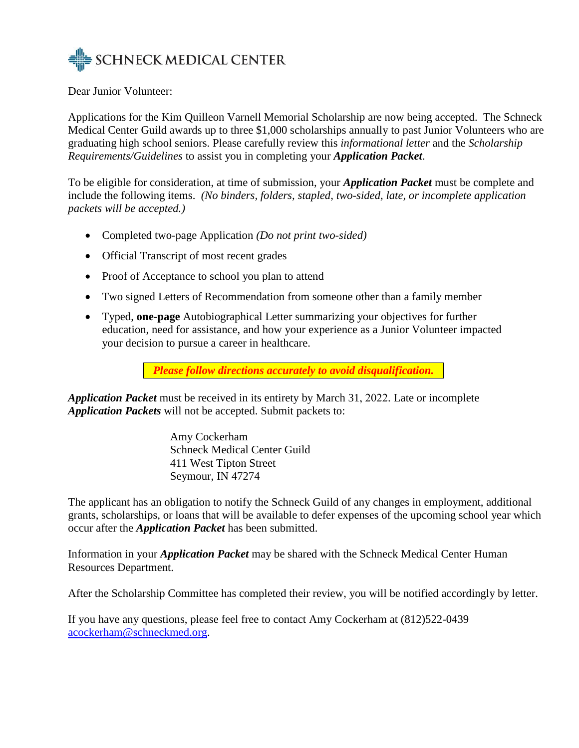

Dear Junior Volunteer:

Applications for the Kim Quilleon Varnell Memorial Scholarship are now being accepted. The Schneck Medical Center Guild awards up to three \$1,000 scholarships annually to past Junior Volunteers who are graduating high school seniors. Please carefully review this *informational letter* and the *Scholarship Requirements/Guidelines* to assist you in completing your *Application Packet*.

To be eligible for consideration, at time of submission, your *Application Packet* must be complete and include the following items. *(No binders, folders, stapled, two-sided, late, or incomplete application packets will be accepted.)*

- Completed two-page Application *(Do not print two-sided)*
- Official Transcript of most recent grades
- Proof of Acceptance to school you plan to attend
- Two signed Letters of Recommendation from someone other than a family member
- Typed, **one-page** Autobiographical Letter summarizing your objectives for further education, need for assistance, and how your experience as a Junior Volunteer impacted your decision to pursue a career in healthcare.

*Please follow directions accurately to avoid disqualification.*

*Application Packet* must be received in its entirety by March 31, 2022. Late or incomplete *Application Packets* will not be accepted. Submit packets to:

> Amy Cockerham Schneck Medical Center Guild 411 West Tipton Street Seymour, IN 47274

The applicant has an obligation to notify the Schneck Guild of any changes in employment, additional grants, scholarships, or loans that will be available to defer expenses of the upcoming school year which occur after the *Application Packet* has been submitted.

Information in your *Application Packet* may be shared with the Schneck Medical Center Human Resources Department.

After the Scholarship Committee has completed their review, you will be notified accordingly by letter.

If you have any questions, please feel free to contact Amy Cockerham at (812)522-0439 [acockerham@schneckmed.org.](mailto:acockerham@schneckmed.org)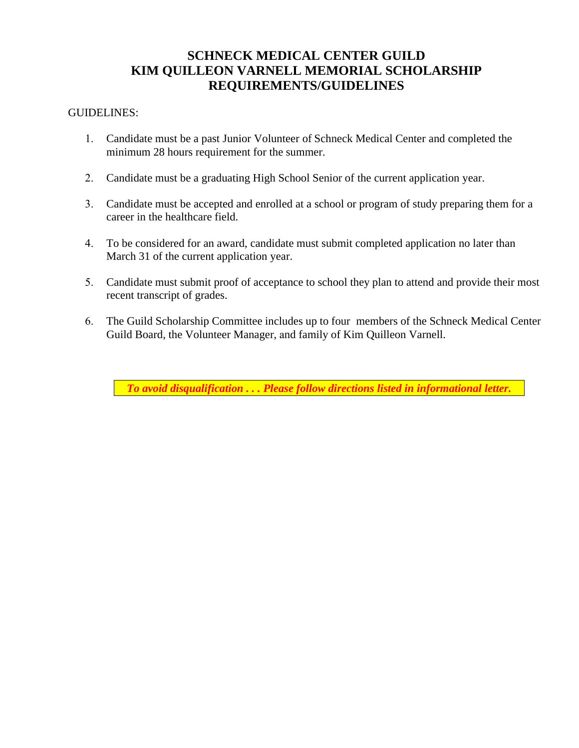# **SCHNECK MEDICAL CENTER GUILD KIM QUILLEON VARNELL MEMORIAL SCHOLARSHIP REQUIREMENTS/GUIDELINES**

### GUIDELINES:

- 1. Candidate must be a past Junior Volunteer of Schneck Medical Center and completed the minimum 28 hours requirement for the summer.
- 2. Candidate must be a graduating High School Senior of the current application year.
- 3. Candidate must be accepted and enrolled at a school or program of study preparing them for a career in the healthcare field.
- 4. To be considered for an award, candidate must submit completed application no later than March 31 of the current application year.
- 5. Candidate must submit proof of acceptance to school they plan to attend and provide their most recent transcript of grades.
- 6. The Guild Scholarship Committee includes up to four members of the Schneck Medical Center Guild Board, the Volunteer Manager, and family of Kim Quilleon Varnell.

*To avoid disqualification . . . Please follow directions listed in informational letter.*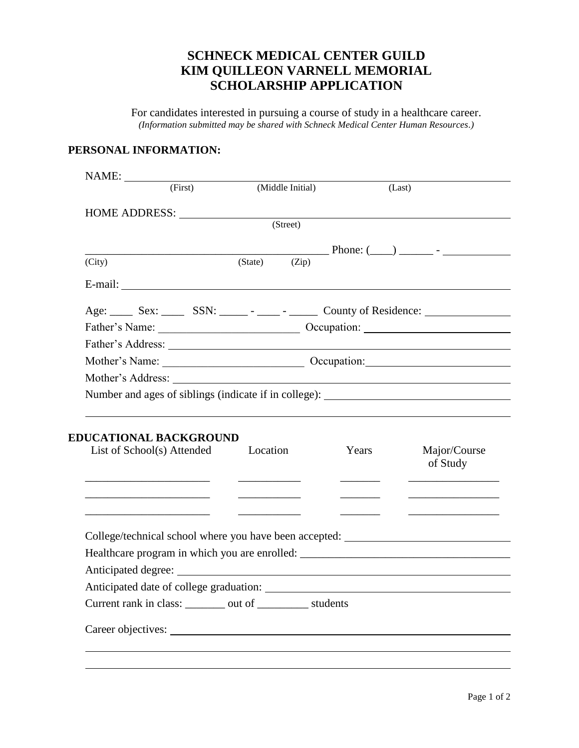# **SCHNECK MEDICAL CENTER GUILD KIM QUILLEON VARNELL MEMORIAL SCHOLARSHIP APPLICATION**

For candidates interested in pursuing a course of study in a healthcare career. *(Information submitted may be shared with Schneck Medical Center Human Resources.)* 

### **PERSONAL INFORMATION:**

| (First)<br>HOME ADDRESS:<br>(State)<br>$E-mail:$<br>Age: Sex: SSN: SSN: County of Residence: | (Middle Initial)<br>(Street)<br>(Zip) | (Last) | $\blacksquare$ Phone: $(\blacksquare)$ $\blacksquare$ - |
|----------------------------------------------------------------------------------------------|---------------------------------------|--------|---------------------------------------------------------|
|                                                                                              |                                       |        |                                                         |
|                                                                                              |                                       |        |                                                         |
|                                                                                              |                                       |        |                                                         |
|                                                                                              |                                       |        |                                                         |
|                                                                                              |                                       |        |                                                         |
|                                                                                              |                                       |        |                                                         |
|                                                                                              |                                       |        |                                                         |
|                                                                                              |                                       |        |                                                         |
|                                                                                              |                                       |        |                                                         |
|                                                                                              |                                       |        |                                                         |
|                                                                                              |                                       |        |                                                         |
|                                                                                              |                                       |        |                                                         |
| <b>EDUCATIONAL BACKGROUND</b><br>List of School(s) Attended<br>Location                      |                                       | Years  | Major/Course<br>of Study                                |
|                                                                                              |                                       |        |                                                         |
| College/technical school where you have been accepted: _________________________             |                                       |        |                                                         |
| Healthcare program in which you are enrolled: ___________________________________            |                                       |        |                                                         |
|                                                                                              |                                       |        |                                                         |
|                                                                                              |                                       |        | Number and ages of siblings (indicate if in college):   |